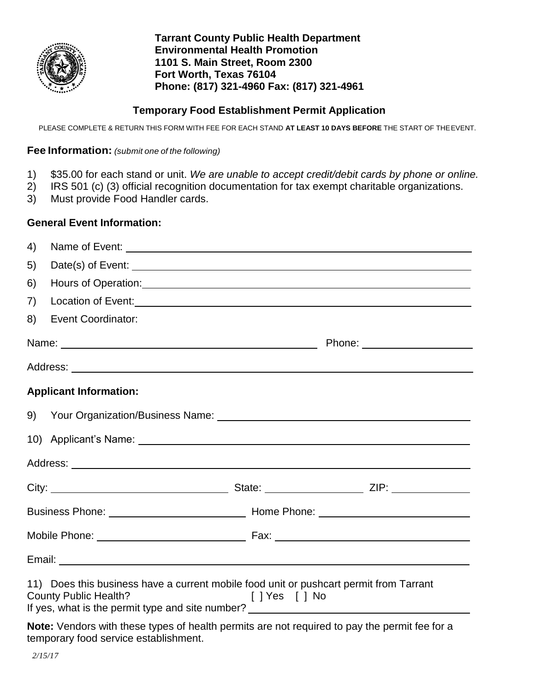

**Tarrant County Public Health Department Environmental Health Promotion 1101 S. Main Street, Room 2300 Fort Worth, Texas 76104 Phone: (817) 321-4960 Fax: (817) 321-4961**

# **Temporary Food Establishment Permit Application**

PLEASE COMPLETE & RETURN THIS FORM WITH FEE FOR EACH STAND **AT LEAST 10 DAYS BEFORE** THE START OF THEEVENT.

# **Fee Information:** *(submit one of the following)*

- 1) \$35.00 for each stand or unit. *We are unable to accept credit/debit cards by phone or online.*
- 2) IRS 501 (c) (3) official recognition documentation for tax exempt charitable organizations.
- 3) Must provide Food Handler cards.

# **General Event Information:**

| 4) |                                                                                                                                                                                                                                          |  |
|----|------------------------------------------------------------------------------------------------------------------------------------------------------------------------------------------------------------------------------------------|--|
| 5) |                                                                                                                                                                                                                                          |  |
| 6) | Hours of Operation: New York Changes and Changes and Changes and Changes and Changes and Changes and Changes and Changes and Changes and Changes and Changes and Changes and Changes and Changes and Changes and Changes and C           |  |
| 7) | Location of Event:<br><u>Location</u> of Event:                                                                                                                                                                                          |  |
| 8) | <b>Event Coordinator:</b>                                                                                                                                                                                                                |  |
|    | Name:                                                                                                                                                                                                                                    |  |
|    |                                                                                                                                                                                                                                          |  |
|    | <b>Applicant Information:</b>                                                                                                                                                                                                            |  |
|    |                                                                                                                                                                                                                                          |  |
|    | 10) Applicant's Name: 10 Applicant's Name: 10 Applicant 2014                                                                                                                                                                             |  |
|    |                                                                                                                                                                                                                                          |  |
|    |                                                                                                                                                                                                                                          |  |
|    |                                                                                                                                                                                                                                          |  |
|    |                                                                                                                                                                                                                                          |  |
|    |                                                                                                                                                                                                                                          |  |
|    | 11) Does this business have a current mobile food unit or pushcart permit from Tarrant<br><b>County Public Health?</b><br>s and the set of the set of the set of the set of the set of the set of the set of the set of the set of the s |  |
|    | Note: Vendors with these types of health permits are not required to pay the permit fee for a                                                                                                                                            |  |

temporary food service establishment.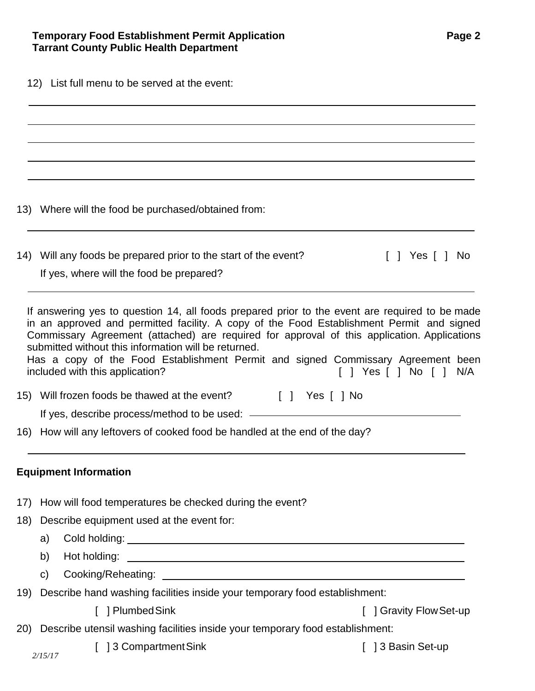|  |  |  | 12) List full menu to be served at the event: |  |  |
|--|--|--|-----------------------------------------------|--|--|
|--|--|--|-----------------------------------------------|--|--|

 $\overline{a}$ 

13) Where will the food be purchased/obtained from:

| 14) Will any foods be prepared prior to the start of the event? |  | [ ] Yes [ ] No |  |
|-----------------------------------------------------------------|--|----------------|--|
| If yes, where will the food be prepared?                        |  |                |  |

If answering yes to question 14, all foods prepared prior to the event are required to be made in an approved and permitted facility. A copy of the Food Establishment Permit and signed Commissary Agreement (attached) are required for approval of this application. Applications submitted without this information will be returned.

Has a copy of the Food Establishment Permit and signed Commissary Agreement been included with this application?  $\begin{array}{ccc} \text{included with this application?} \end{array}$ 

15) Will frozen foods be thawed at the event? [ ] Yes [ ] No

16) How will any leftovers of cooked food be handled at the end of the day?

# **Equipment Information**

- 17) How will food temperatures be checked during the event?
- 18) Describe equipment used at the event for:
	- a) Cold holding: <u>example and contract and contract and contract and contract and contract and contract and contract and contract and contract and contract and contract and contract and contract and contract and contract a</u>
	- b) Hot holding: <u>example and the set of the set of the set of the set of the set of the set of the set of the set of the set of the set of the set of the set of the set of the set of the set of the set of the set of the se</u>
	- c) Cooking/Reheating:
- 19) Describe hand washing facilities inside your temporary food establishment:
	- [ ] Plumbed Sink [ ] Gravity Flow Set-up
- 20) Describe utensil washing facilities inside your temporary food establishment:
	- [ ] 3 Compartment Sink [ ] 3 Basin Set-up
-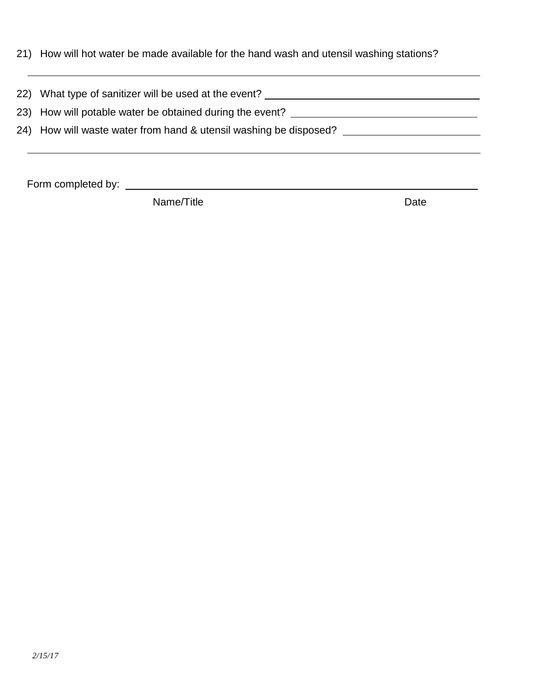|  |  | 21) How will hot water be made available for the hand wash and utensil washing stations? |  |  |  |
|--|--|------------------------------------------------------------------------------------------|--|--|--|
|--|--|------------------------------------------------------------------------------------------|--|--|--|

| 22) What type of sanitizer will be used at the event?             |
|-------------------------------------------------------------------|
| 23) How will potable water be obtained during the event?          |
| 24) How will waste water from hand & utensil washing be disposed? |
|                                                                   |

Form completed by:

Name/Title **Date**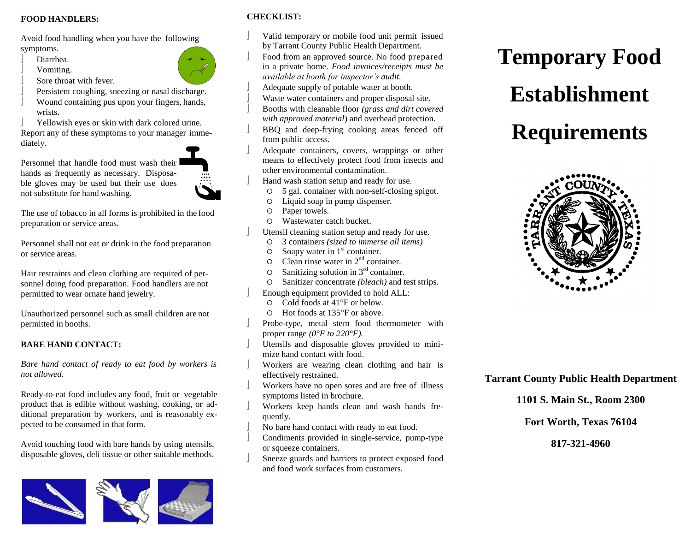#### **FOOD HANDLERS:**

Avoid food handling when you have the following symptoms.

- Diarrhea.
- Vomiting.
- Sore throat with fever.
- Persistent coughing, sneezing or nasal discharge.
- Wound containing pus upon your fingers, hands, wrists.

 Yellowish eyes or skin with dark colored urine. Report any of these symptoms to your manager immediately.

Personnel that handle food must wash their hands as frequently as necessary. Disposable gloves may be used but their use does not substitute for hand washing.

The use of tobacco in all forms is prohibited in the food preparation or service areas.

Personnel shall not eat or drink in the food preparation or service areas.

Hair restraints and clean clothing are required of personnel doing food preparation. Food handlers are not permitted to wear ornate hand jewelry.

Unauthorized personnel such as small children are not permitted in booths.

## **BARE HAND CONTACT:**

*Bare hand contact of ready to eat food by workers is not allowed.*

Ready-to-eat food includes any food, fruit or vegetable product that is edible without washing, cooking, or additional preparation by workers, and is reasonably expected to be consumed in that form.

Avoid touching food with bare hands by using utensils, disposable gloves, deli tissue or other suitable methods.



## **CHECKLIST:**

- Valid temporary or mobile food unit permit issued
- by Tarrant County Public Health Department. Food from an approved source. No food prepared in a private home. *Food invoices/receipts must be available at booth for inspector's audit.*
- Adequate supply of potable water at booth.
- Waste water containers and proper disposal site.
- Booths with cleanable floor *(grass and dirt covered with approved material*) and overhead protection.
- BBQ and deep-frying cooking areas fenced off from public access.
- Adequate containers, covers, wrappings or other means to effectively protect food from insects and other environmental contamination.
- Hand wash station setup and ready for use.
	- 5 gal. container with non-self-closing spigot.
	- Liquid soap in pump dispenser.
	- Paper towels.
	- Wastewater catch bucket.
- Utensil cleaning station setup and ready for use.
	- 3 containers *(sized to immerse all items)*
	- $\circ$  Soapy water in 1<sup>st</sup> container.
	- $\circ$  Clean rinse water in  $2<sup>nd</sup>$  container.
	- $\circ$  Sanitizing solution in 3<sup>rd</sup> container.
	- Sanitizer concentrate *(bleach)* and test strips.
- Enough equipment provided to hold ALL:
	- Cold foods at 41°F or below.
	- Hot foods at 135°F or above.
- Probe-type, metal stem food thermometer with proper range *(0°F to 220°F).*
- Utensils and disposable gloves provided to minimize hand contact with food.
- Workers are wearing clean clothing and hair is effectively restrained.
- Workers have no open sores and are free of illness symptoms listed in brochure.
- Workers keep hands clean and wash hands frequently.
- No bare hand contact with ready to eat food.
- Condiments provided in single-service, pump-type or squeeze containers.
- Sneeze guards and barriers to protect exposed food and food work surfaces from customers.

# **Temporary Food Establishment Requirements**



**Tarrant County Public Health Department** 

**1101 S. Main St., Room 2300**

**Fort Worth, Texas 76104** 

**817-321-4960**